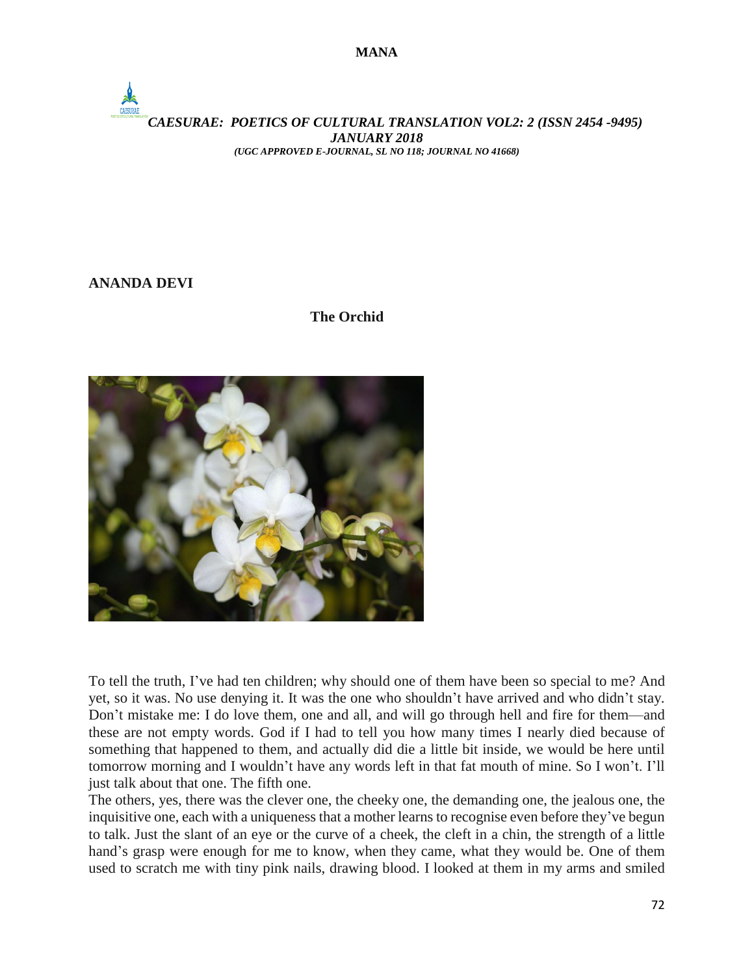

# **ANANDA DEVI**

## **The Orchid**



To tell the truth, I've had ten children; why should one of them have been so special to me? And yet, so it was. No use denying it. It was the one who shouldn't have arrived and who didn't stay. Don't mistake me: I do love them, one and all, and will go through hell and fire for them—and these are not empty words. God if I had to tell you how many times I nearly died because of something that happened to them, and actually did die a little bit inside, we would be here until tomorrow morning and I wouldn't have any words left in that fat mouth of mine. So I won't. I'll just talk about that one. The fifth one.

The others, yes, there was the clever one, the cheeky one, the demanding one, the jealous one, the inquisitive one, each with a uniqueness that a mother learns to recognise even before they've begun to talk. Just the slant of an eye or the curve of a cheek, the cleft in a chin, the strength of a little hand's grasp were enough for me to know, when they came, what they would be. One of them used to scratch me with tiny pink nails, drawing blood. I looked at them in my arms and smiled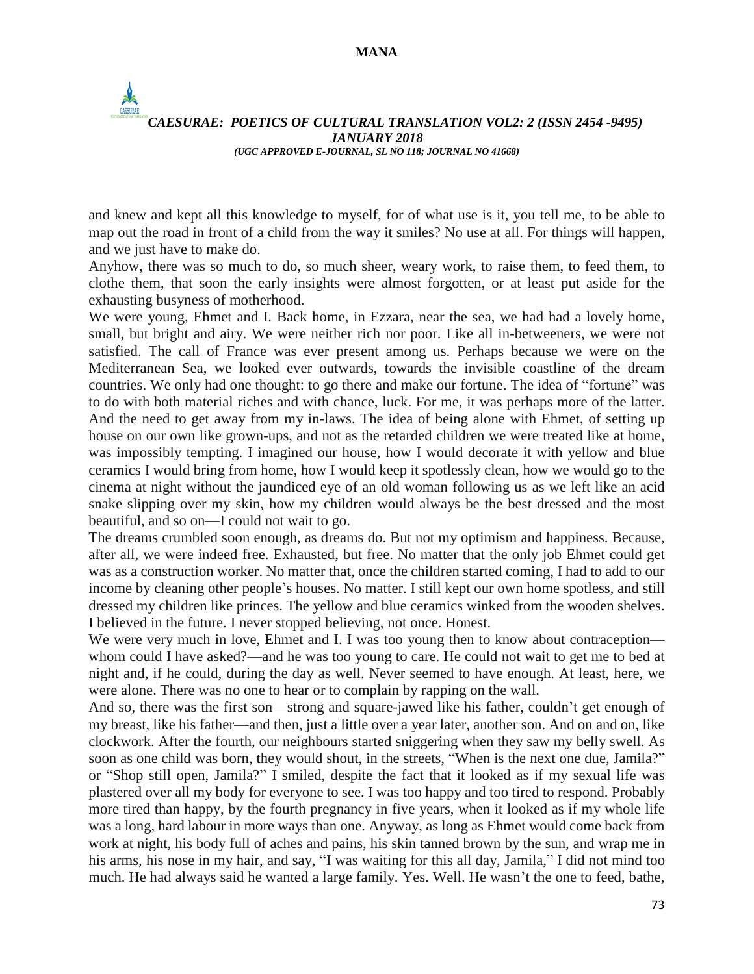# *CAESURAE: POETICS OF CULTURAL TRANSLATION VOL2: 2 (ISSN 2454 -9495) JANUARY 2018 (UGC APPROVED E-JOURNAL, SL NO 118; JOURNAL NO 41668)*

and knew and kept all this knowledge to myself, for of what use is it, you tell me, to be able to map out the road in front of a child from the way it smiles? No use at all. For things will happen, and we just have to make do.

Anyhow, there was so much to do, so much sheer, weary work, to raise them, to feed them, to clothe them, that soon the early insights were almost forgotten, or at least put aside for the exhausting busyness of motherhood.

We were young, Ehmet and I. Back home, in Ezzara, near the sea, we had had a lovely home, small, but bright and airy. We were neither rich nor poor. Like all in-betweeners, we were not satisfied. The call of France was ever present among us. Perhaps because we were on the Mediterranean Sea, we looked ever outwards, towards the invisible coastline of the dream countries. We only had one thought: to go there and make our fortune. The idea of "fortune" was to do with both material riches and with chance, luck. For me, it was perhaps more of the latter. And the need to get away from my in-laws. The idea of being alone with Ehmet, of setting up house on our own like grown-ups, and not as the retarded children we were treated like at home, was impossibly tempting. I imagined our house, how I would decorate it with yellow and blue ceramics I would bring from home, how I would keep it spotlessly clean, how we would go to the cinema at night without the jaundiced eye of an old woman following us as we left like an acid snake slipping over my skin, how my children would always be the best dressed and the most beautiful, and so on—I could not wait to go.

The dreams crumbled soon enough, as dreams do. But not my optimism and happiness. Because, after all, we were indeed free. Exhausted, but free. No matter that the only job Ehmet could get was as a construction worker. No matter that, once the children started coming, I had to add to our income by cleaning other people's houses. No matter. I still kept our own home spotless, and still dressed my children like princes. The yellow and blue ceramics winked from the wooden shelves. I believed in the future. I never stopped believing, not once. Honest.

We were very much in love, Ehmet and I. I was too young then to know about contraception whom could I have asked?—and he was too young to care. He could not wait to get me to bed at night and, if he could, during the day as well. Never seemed to have enough. At least, here, we were alone. There was no one to hear or to complain by rapping on the wall.

And so, there was the first son—strong and square-jawed like his father, couldn't get enough of my breast, like his father—and then, just a little over a year later, another son. And on and on, like clockwork. After the fourth, our neighbours started sniggering when they saw my belly swell. As soon as one child was born, they would shout, in the streets, "When is the next one due, Jamila?" or "Shop still open, Jamila?" I smiled, despite the fact that it looked as if my sexual life was plastered over all my body for everyone to see. I was too happy and too tired to respond. Probably more tired than happy, by the fourth pregnancy in five years, when it looked as if my whole life was a long, hard labour in more ways than one. Anyway, as long as Ehmet would come back from work at night, his body full of aches and pains, his skin tanned brown by the sun, and wrap me in his arms, his nose in my hair, and say, "I was waiting for this all day, Jamila," I did not mind too much. He had always said he wanted a large family. Yes. Well. He wasn't the one to feed, bathe,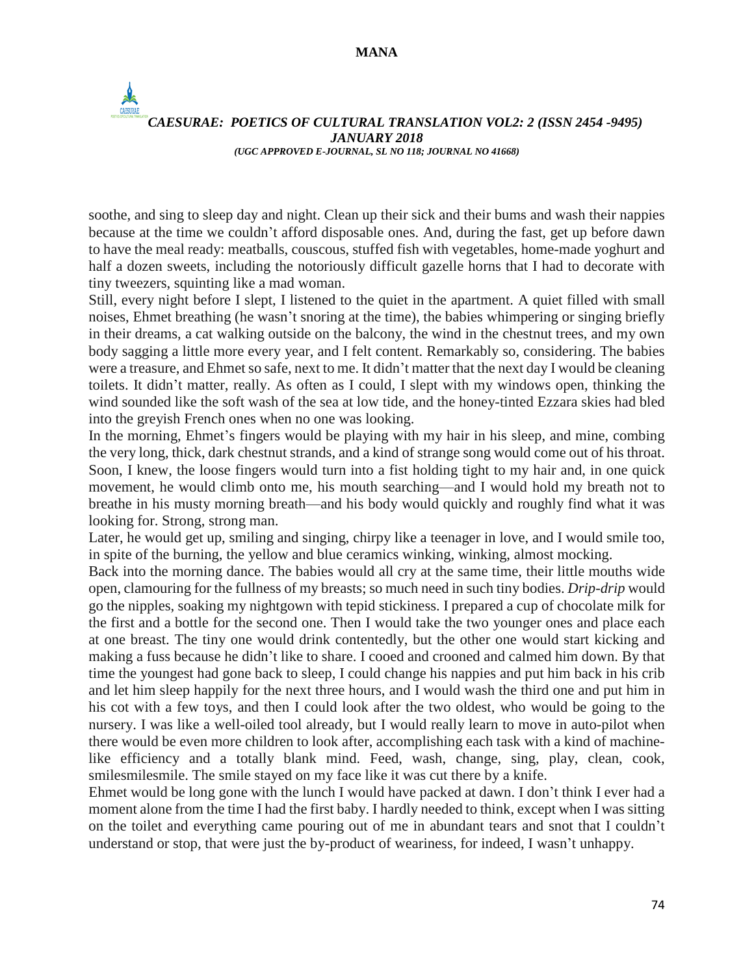$\frac{1}{2}$ 

#### *CAESURAE: POETICS OF CULTURAL TRANSLATION VOL2: 2 (ISSN 2454 -9495) JANUARY 2018 (UGC APPROVED E-JOURNAL, SL NO 118; JOURNAL NO 41668)*

soothe, and sing to sleep day and night. Clean up their sick and their bums and wash their nappies because at the time we couldn't afford disposable ones. And, during the fast, get up before dawn to have the meal ready: meatballs, couscous, stuffed fish with vegetables, home-made yoghurt and half a dozen sweets, including the notoriously difficult gazelle horns that I had to decorate with tiny tweezers, squinting like a mad woman.

Still, every night before I slept, I listened to the quiet in the apartment. A quiet filled with small noises, Ehmet breathing (he wasn't snoring at the time), the babies whimpering or singing briefly in their dreams, a cat walking outside on the balcony, the wind in the chestnut trees, and my own body sagging a little more every year, and I felt content. Remarkably so, considering. The babies were a treasure, and Ehmet so safe, next to me. It didn't matter that the next day I would be cleaning toilets. It didn't matter, really. As often as I could, I slept with my windows open, thinking the wind sounded like the soft wash of the sea at low tide, and the honey-tinted Ezzara skies had bled into the greyish French ones when no one was looking.

In the morning, Ehmet's fingers would be playing with my hair in his sleep, and mine, combing the very long, thick, dark chestnut strands, and a kind of strange song would come out of his throat. Soon, I knew, the loose fingers would turn into a fist holding tight to my hair and, in one quick movement, he would climb onto me, his mouth searching—and I would hold my breath not to breathe in his musty morning breath—and his body would quickly and roughly find what it was looking for. Strong, strong man.

Later, he would get up, smiling and singing, chirpy like a teenager in love, and I would smile too, in spite of the burning, the yellow and blue ceramics winking, winking, almost mocking.

Back into the morning dance. The babies would all cry at the same time, their little mouths wide open, clamouring for the fullness of my breasts; so much need in such tiny bodies. *Drip-drip* would go the nipples, soaking my nightgown with tepid stickiness. I prepared a cup of chocolate milk for the first and a bottle for the second one. Then I would take the two younger ones and place each at one breast. The tiny one would drink contentedly, but the other one would start kicking and making a fuss because he didn't like to share. I cooed and crooned and calmed him down. By that time the youngest had gone back to sleep, I could change his nappies and put him back in his crib and let him sleep happily for the next three hours, and I would wash the third one and put him in his cot with a few toys, and then I could look after the two oldest, who would be going to the nursery. I was like a well-oiled tool already, but I would really learn to move in auto-pilot when there would be even more children to look after, accomplishing each task with a kind of machinelike efficiency and a totally blank mind. Feed, wash, change, sing, play, clean, cook, smilesmilesmile. The smile stayed on my face like it was cut there by a knife.

Ehmet would be long gone with the lunch I would have packed at dawn. I don't think I ever had a moment alone from the time I had the first baby. I hardly needed to think, except when I was sitting on the toilet and everything came pouring out of me in abundant tears and snot that I couldn't understand or stop, that were just the by-product of weariness, for indeed, I wasn't unhappy.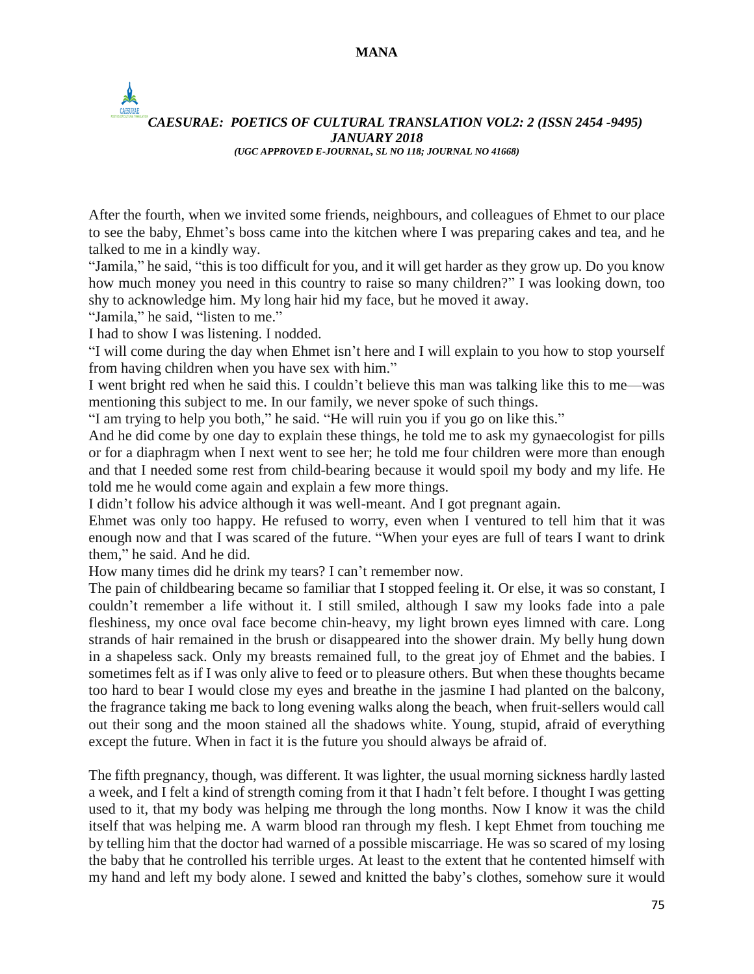# *CAESURAE: POETICS OF CULTURAL TRANSLATION VOL2: 2 (ISSN 2454 -9495) JANUARY 2018 (UGC APPROVED E-JOURNAL, SL NO 118; JOURNAL NO 41668)*

After the fourth, when we invited some friends, neighbours, and colleagues of Ehmet to our place to see the baby, Ehmet's boss came into the kitchen where I was preparing cakes and tea, and he talked to me in a kindly way.

"Jamila," he said, "this is too difficult for you, and it will get harder as they grow up. Do you know how much money you need in this country to raise so many children?" I was looking down, too shy to acknowledge him. My long hair hid my face, but he moved it away.

"Jamila," he said, "listen to me."

I had to show I was listening. I nodded.

"I will come during the day when Ehmet isn't here and I will explain to you how to stop yourself from having children when you have sex with him."

I went bright red when he said this. I couldn't believe this man was talking like this to me—was mentioning this subject to me. In our family, we never spoke of such things.

"I am trying to help you both," he said. "He will ruin you if you go on like this."

And he did come by one day to explain these things, he told me to ask my gynaecologist for pills or for a diaphragm when I next went to see her; he told me four children were more than enough and that I needed some rest from child-bearing because it would spoil my body and my life. He told me he would come again and explain a few more things.

I didn't follow his advice although it was well-meant. And I got pregnant again.

Ehmet was only too happy. He refused to worry, even when I ventured to tell him that it was enough now and that I was scared of the future. "When your eyes are full of tears I want to drink them," he said. And he did.

How many times did he drink my tears? I can't remember now.

The pain of childbearing became so familiar that I stopped feeling it. Or else, it was so constant, I couldn't remember a life without it. I still smiled, although I saw my looks fade into a pale fleshiness, my once oval face become chin-heavy, my light brown eyes limned with care. Long strands of hair remained in the brush or disappeared into the shower drain. My belly hung down in a shapeless sack. Only my breasts remained full, to the great joy of Ehmet and the babies. I sometimes felt as if I was only alive to feed or to pleasure others. But when these thoughts became too hard to bear I would close my eyes and breathe in the jasmine I had planted on the balcony, the fragrance taking me back to long evening walks along the beach, when fruit-sellers would call out their song and the moon stained all the shadows white. Young, stupid, afraid of everything except the future. When in fact it is the future you should always be afraid of.

The fifth pregnancy, though, was different. It was lighter, the usual morning sickness hardly lasted a week, and I felt a kind of strength coming from it that I hadn't felt before. I thought I was getting used to it, that my body was helping me through the long months. Now I know it was the child itself that was helping me. A warm blood ran through my flesh. I kept Ehmet from touching me by telling him that the doctor had warned of a possible miscarriage. He was so scared of my losing the baby that he controlled his terrible urges. At least to the extent that he contented himself with my hand and left my body alone. I sewed and knitted the baby's clothes, somehow sure it would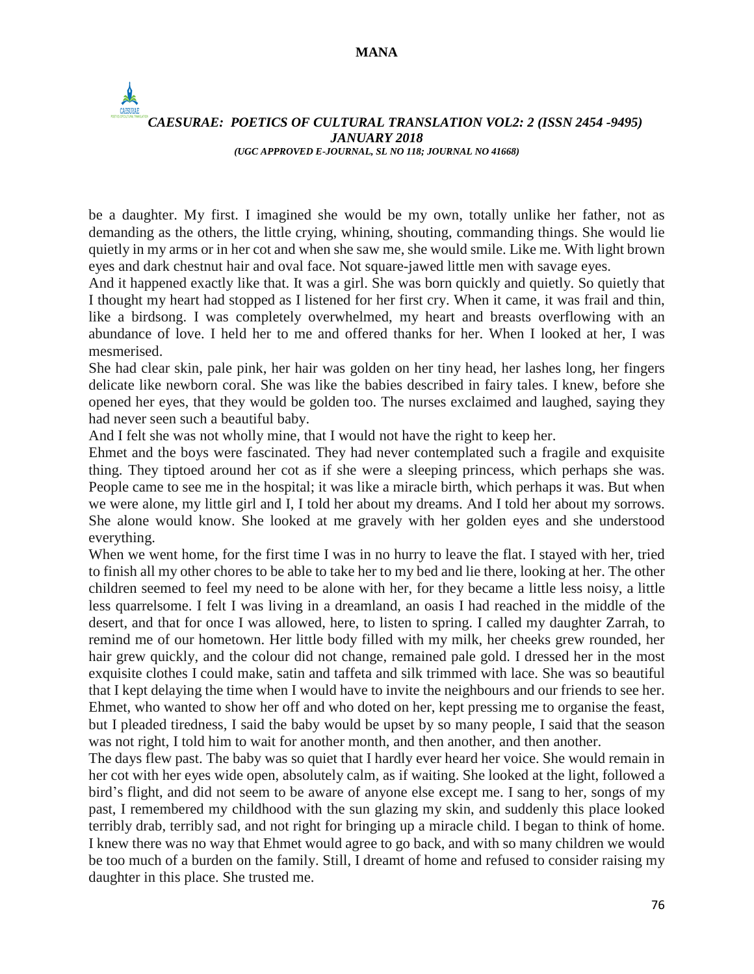$\frac{1}{2}$ 

*CAESURAE: POETICS OF CULTURAL TRANSLATION VOL2: 2 (ISSN 2454 -9495) JANUARY 2018 (UGC APPROVED E-JOURNAL, SL NO 118; JOURNAL NO 41668)*

be a daughter. My first. I imagined she would be my own, totally unlike her father, not as demanding as the others, the little crying, whining, shouting, commanding things. She would lie quietly in my arms or in her cot and when she saw me, she would smile. Like me. With light brown eyes and dark chestnut hair and oval face. Not square-jawed little men with savage eyes.

And it happened exactly like that. It was a girl. She was born quickly and quietly. So quietly that I thought my heart had stopped as I listened for her first cry. When it came, it was frail and thin, like a birdsong. I was completely overwhelmed, my heart and breasts overflowing with an abundance of love. I held her to me and offered thanks for her. When I looked at her, I was mesmerised.

She had clear skin, pale pink, her hair was golden on her tiny head, her lashes long, her fingers delicate like newborn coral. She was like the babies described in fairy tales. I knew, before she opened her eyes, that they would be golden too. The nurses exclaimed and laughed, saying they had never seen such a beautiful baby.

And I felt she was not wholly mine, that I would not have the right to keep her.

Ehmet and the boys were fascinated. They had never contemplated such a fragile and exquisite thing. They tiptoed around her cot as if she were a sleeping princess, which perhaps she was. People came to see me in the hospital; it was like a miracle birth, which perhaps it was. But when we were alone, my little girl and I, I told her about my dreams. And I told her about my sorrows. She alone would know. She looked at me gravely with her golden eyes and she understood everything.

When we went home, for the first time I was in no hurry to leave the flat. I stayed with her, tried to finish all my other chores to be able to take her to my bed and lie there, looking at her. The other children seemed to feel my need to be alone with her, for they became a little less noisy, a little less quarrelsome. I felt I was living in a dreamland, an oasis I had reached in the middle of the desert, and that for once I was allowed, here, to listen to spring. I called my daughter Zarrah, to remind me of our hometown. Her little body filled with my milk, her cheeks grew rounded, her hair grew quickly, and the colour did not change, remained pale gold. I dressed her in the most exquisite clothes I could make, satin and taffeta and silk trimmed with lace. She was so beautiful that I kept delaying the time when I would have to invite the neighbours and our friends to see her. Ehmet, who wanted to show her off and who doted on her, kept pressing me to organise the feast, but I pleaded tiredness, I said the baby would be upset by so many people, I said that the season was not right, I told him to wait for another month, and then another, and then another.

The days flew past. The baby was so quiet that I hardly ever heard her voice. She would remain in her cot with her eyes wide open, absolutely calm, as if waiting. She looked at the light, followed a bird's flight, and did not seem to be aware of anyone else except me. I sang to her, songs of my past, I remembered my childhood with the sun glazing my skin, and suddenly this place looked terribly drab, terribly sad, and not right for bringing up a miracle child. I began to think of home. I knew there was no way that Ehmet would agree to go back, and with so many children we would be too much of a burden on the family. Still, I dreamt of home and refused to consider raising my daughter in this place. She trusted me.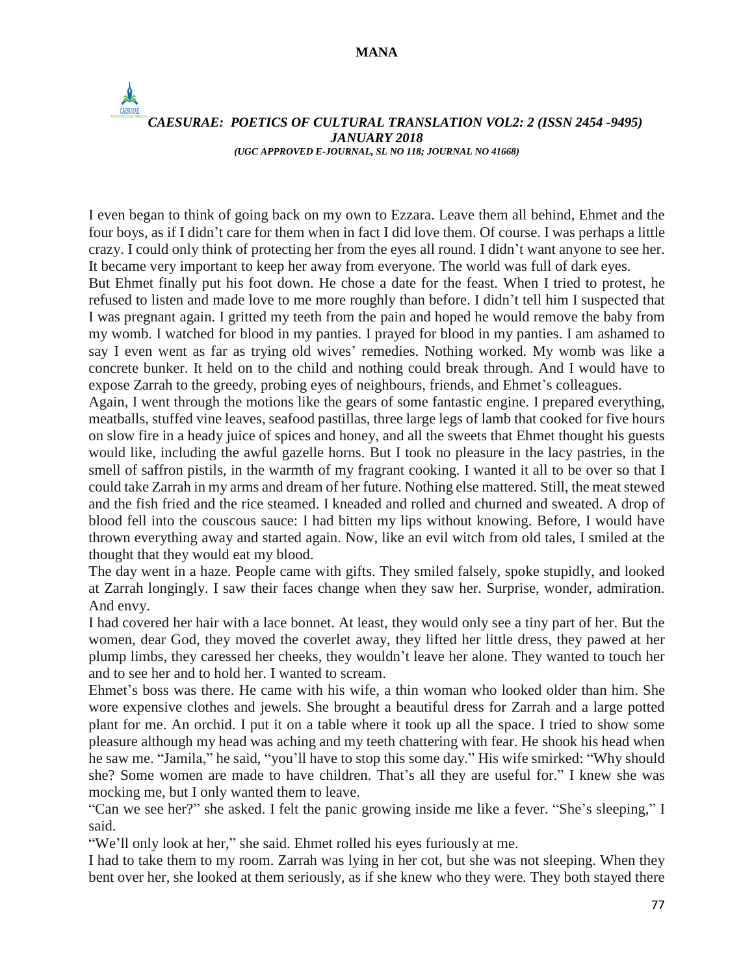## *CAESURAE: POETICS OF CULTURAL TRANSLATION VOL2: 2 (ISSN 2454 -9495) JANUARY 2018 (UGC APPROVED E-JOURNAL, SL NO 118; JOURNAL NO 41668)*

I even began to think of going back on my own to Ezzara. Leave them all behind, Ehmet and the four boys, as if I didn't care for them when in fact I did love them. Of course. I was perhaps a little crazy. I could only think of protecting her from the eyes all round. I didn't want anyone to see her. It became very important to keep her away from everyone. The world was full of dark eyes.

But Ehmet finally put his foot down. He chose a date for the feast. When I tried to protest, he refused to listen and made love to me more roughly than before. I didn't tell him I suspected that I was pregnant again. I gritted my teeth from the pain and hoped he would remove the baby from my womb. I watched for blood in my panties. I prayed for blood in my panties. I am ashamed to say I even went as far as trying old wives' remedies. Nothing worked. My womb was like a concrete bunker. It held on to the child and nothing could break through. And I would have to expose Zarrah to the greedy, probing eyes of neighbours, friends, and Ehmet's colleagues.

Again, I went through the motions like the gears of some fantastic engine. I prepared everything, meatballs, stuffed vine leaves, seafood pastillas, three large legs of lamb that cooked for five hours on slow fire in a heady juice of spices and honey, and all the sweets that Ehmet thought his guests would like, including the awful gazelle horns. But I took no pleasure in the lacy pastries, in the smell of saffron pistils, in the warmth of my fragrant cooking. I wanted it all to be over so that I could take Zarrah in my arms and dream of her future. Nothing else mattered. Still, the meat stewed and the fish fried and the rice steamed. I kneaded and rolled and churned and sweated. A drop of blood fell into the couscous sauce: I had bitten my lips without knowing. Before, I would have thrown everything away and started again. Now, like an evil witch from old tales, I smiled at the thought that they would eat my blood.

The day went in a haze. People came with gifts. They smiled falsely, spoke stupidly, and looked at Zarrah longingly. I saw their faces change when they saw her. Surprise, wonder, admiration. And envy.

I had covered her hair with a lace bonnet. At least, they would only see a tiny part of her. But the women, dear God, they moved the coverlet away, they lifted her little dress, they pawed at her plump limbs, they caressed her cheeks, they wouldn't leave her alone. They wanted to touch her and to see her and to hold her. I wanted to scream.

Ehmet's boss was there. He came with his wife, a thin woman who looked older than him. She wore expensive clothes and jewels. She brought a beautiful dress for Zarrah and a large potted plant for me. An orchid. I put it on a table where it took up all the space. I tried to show some pleasure although my head was aching and my teeth chattering with fear. He shook his head when he saw me. "Jamila," he said, "you'll have to stop this some day." His wife smirked: "Why should she? Some women are made to have children. That's all they are useful for." I knew she was mocking me, but I only wanted them to leave.

"Can we see her?" she asked. I felt the panic growing inside me like a fever. "She's sleeping," I said.

"We'll only look at her," she said. Ehmet rolled his eyes furiously at me.

I had to take them to my room. Zarrah was lying in her cot, but she was not sleeping. When they bent over her, she looked at them seriously, as if she knew who they were. They both stayed there